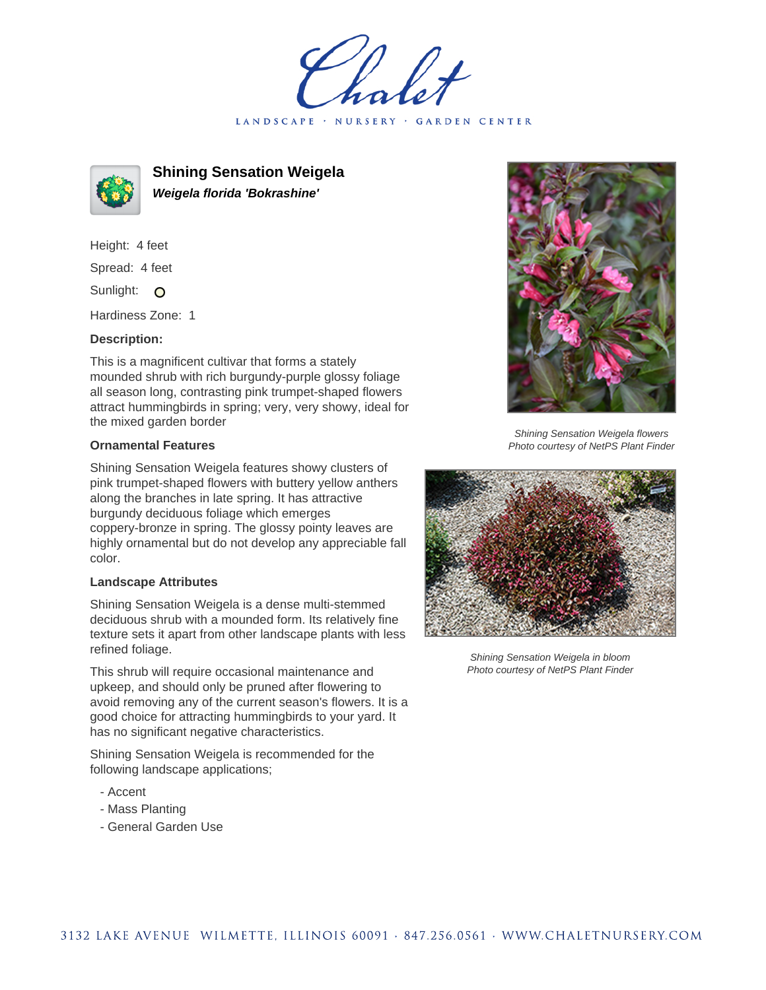LANDSCAPE · NURSERY GARDEN CENTER



**Shining Sensation Weigela Weigela florida 'Bokrashine'**

Height: 4 feet Spread: 4 feet Sunlight: O

Hardiness Zone: 1

## **Description:**

This is a magnificent cultivar that forms a stately mounded shrub with rich burgundy-purple glossy foliage all season long, contrasting pink trumpet-shaped flowers attract hummingbirds in spring; very, very showy, ideal for the mixed garden border

## **Ornamental Features**

Shining Sensation Weigela features showy clusters of pink trumpet-shaped flowers with buttery yellow anthers along the branches in late spring. It has attractive burgundy deciduous foliage which emerges coppery-bronze in spring. The glossy pointy leaves are highly ornamental but do not develop any appreciable fall color.

## **Landscape Attributes**

Shining Sensation Weigela is a dense multi-stemmed deciduous shrub with a mounded form. Its relatively fine texture sets it apart from other landscape plants with less refined foliage.

This shrub will require occasional maintenance and upkeep, and should only be pruned after flowering to avoid removing any of the current season's flowers. It is a good choice for attracting hummingbirds to your yard. It has no significant negative characteristics.

Shining Sensation Weigela is recommended for the following landscape applications;

- Accent
- Mass Planting
- General Garden Use



Shining Sensation Weigela flowers Photo courtesy of NetPS Plant Finder



Shining Sensation Weigela in bloom Photo courtesy of NetPS Plant Finder